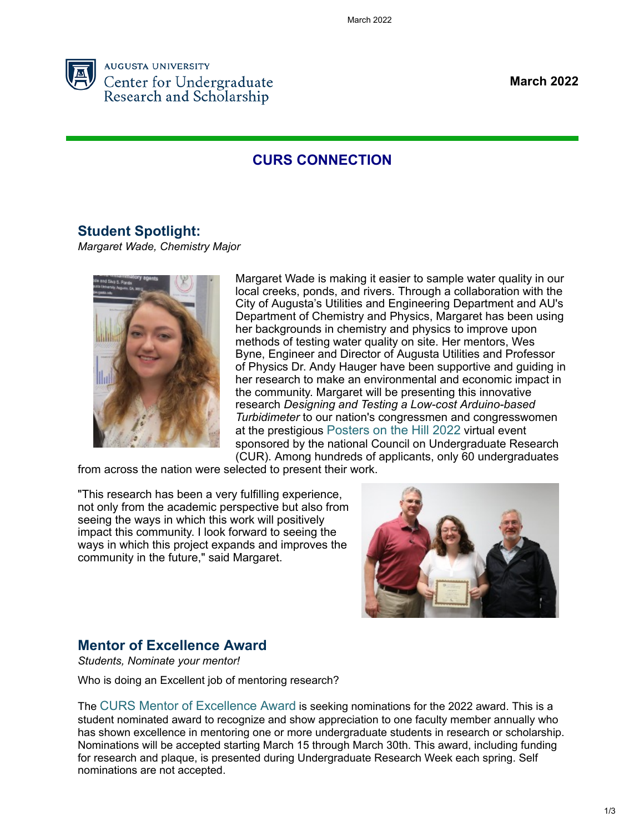

**March 2022**

# **CURS CONNECTION**

#### **[Student Spotlight:](https://auginstruction.us.newsweaver.com/19nl4wupoc/v9z5038fnz7k4y0qiyh7v3?lang=en&a=1&p=10044957&t=1511846)**

*Margaret Wade, Chemistry Major*



Margaret Wade is making it easier to sample water quality in our local creeks, ponds, and rivers. Through a collaboration with the City of Augusta's Utilities and Engineering Department and AU's Department of Chemistry and Physics, Margaret has been using her backgrounds in chemistry and physics to improve upon methods of testing water quality on site. Her mentors, Wes Byne, Engineer and Director of Augusta Utilities and Professor of Physics Dr. Andy Hauger have been supportive and guiding in her research to make an environmental and economic impact in the community. Margaret will be presenting this innovative research *Designing and Testing a Low-cost Arduino-based Turbidimeter* to our nation's congressmen and congresswomen at the prestigious [Posters on the Hill 2022](https://auginstruction.us.newsweaver.com/19nl4wupoc/1x7jq342pwvk4y0qiyh7v3/external?a=5&p=10044957&t=1511846) virtual event sponsored by the national Council on Undergraduate Research (CUR). Among hundreds of applicants, only 60 undergraduates

from across the nation were selected to present their work.

"This research has been a very fulfilling experience, not only from the academic perspective but also from seeing the ways in which this work will positively impact this community. I look forward to seeing the ways in which this project expands and improves the community in the future," said Margaret.



# **[Mentor of Excellence Award](https://auginstruction.us.newsweaver.com/19nl4wupoc/1kddu2zbkc3k4y0qiyh7v3?lang=en&a=1&p=10044957&t=1630336)**

*Students, Nominate your mentor!*

Who is doing an Excellent job of mentoring research?

The [CURS Mentor of Excellence Award](https://auginstruction.us.newsweaver.com/19nl4wupoc/e1l4p19gdf4k4y0qiyh7v3/external?a=5&p=10044957&t=1630336) is seeking nominations for the 2022 award. This is a student nominated award to recognize and show appreciation to one faculty member annually who has shown excellence in mentoring one or more undergraduate students in research or scholarship. Nominations will be accepted starting March 15 through March 30th. This award, including funding for research and plaque, is presented during Undergraduate Research Week each spring. Self nominations are not accepted.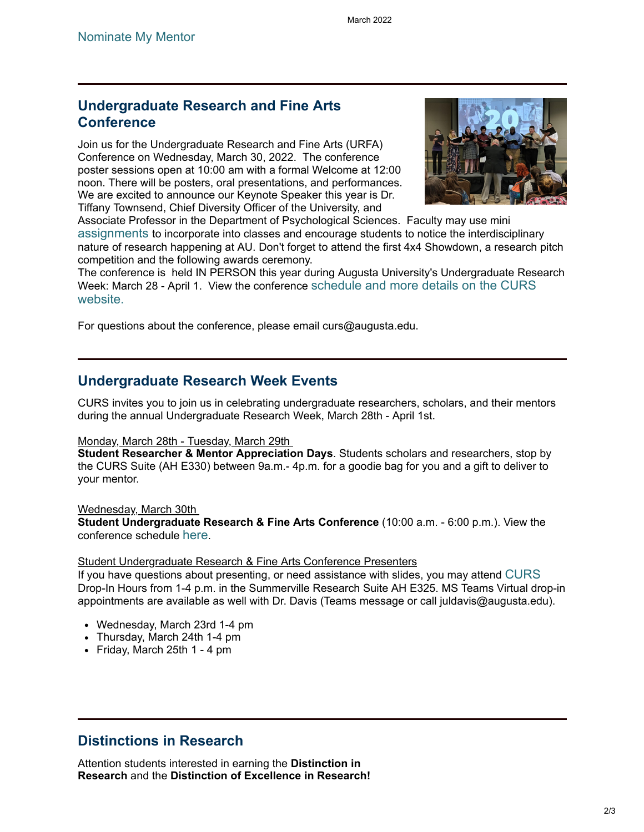### **[Undergraduate Research and Fine Arts](https://auginstruction.us.newsweaver.com/19nl4wupoc/1ttqrnz6seuk4y0qiyh7v3?lang=en&a=1&p=10044957&t=1630336) Conference**

Join us for the Undergraduate Research and Fine Arts (URFA) Conference on Wednesday, March 30, 2022. The conference poster sessions open at 10:00 am with a formal Welcome at 12:00 noon. There will be posters, oral presentations, and performances. We are excited to announce our Keynote Speaker this year is Dr. Tiffany Townsend, Chief Diversity Officer of the University, and



Associate Professor in the Department of Psychological Sciences. Faculty may use mini [assignments](https://auginstruction.us.newsweaver.com/19nl4wupoc/1ff63gngbsbk4y0qiyh7v3/external?a=5&p=10044957&t=1630336) to incorporate into classes and encourage students to notice the interdisciplinary nature of research happening at AU. Don't forget to attend the first 4x4 Showdown, a research pitch competition and the following awards ceremony.

The conference is held IN PERSON this year during Augusta University's Undergraduate Research Week: March 28 - April 1. View the conference [schedule and more details on the CURS](https://auginstruction.us.newsweaver.com/19nl4wupoc/13oafstzsvgk4y0qiyh7v3/external?a=5&p=10044957&t=1630336) website.

For questions about the conference, please email curs@augusta.edu.

### **Undergraduate Research Week Events**

CURS invites you to join us in celebrating undergraduate researchers, scholars, and their mentors during the annual Undergraduate Research Week, March 28th - April 1st.

#### Monday, March 28th - Tuesday, March 29th

**Student Researcher & Mentor Appreciation Days**. Students scholars and researchers, stop by the CURS Suite (AH E330) between 9a.m.- 4p.m. for a goodie bag for you and a gift to deliver to your mentor.

Wednesday, March 30th

**Student Undergraduate Research & Fine Arts Conference** (10:00 a.m. - 6:00 p.m.). View the conference schedule [here](https://auginstruction.us.newsweaver.com/19nl4wupoc/117zqo6hy3hk4y0qiyh7v3/external?i=2&a=5&p=10044957&t=1630336).

#### Student Undergraduate Research & Fine Arts Conference Presenters

If you have questions about presenting, or need assistance with slides, you may attend [CURS](https://auginstruction.us.newsweaver.com/19nl4wupoc/ah65kbu65zyk4y0qiyh7v3/external?a=5&p=10044957&t=1630336) Drop-In Hours from 1-4 p.m. in the Summerville Research Suite AH E325. MS Teams Virtual drop-in appointments are available as well with Dr. Davis (Teams message or call juldavis@augusta.edu).

- Wednesday, March 23rd 1-4 pm
- Thursday, March 24th 1-4 pm
- Friday, March 25th  $1 4$  pm

# **Distinctions in Research**

Attention students interested in earning the **Distinction in Research** and the **Distinction of Excellence in Research!**